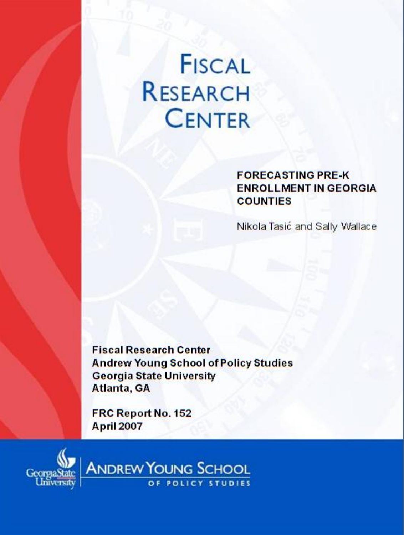# **FISCAL RESEARCH CENTER**

#### **FORECASTING PRE-K ENROLLMENT IN GEORGIA COUNTIES**

Nikola Tasić and Sally Wallace

**Fiscal Research Center Andrew Young School of Policy Studies Georgia State University** Atlanta, GA

FRC Report No. 152 **April 2007** 



ANDREW YOUNG SCHOOL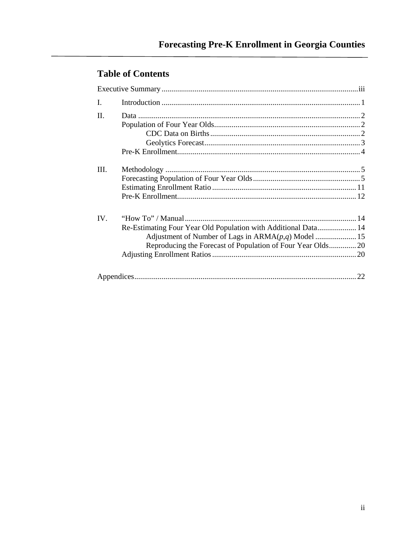# **Table of Contents**

| I.  |                                                                |  |  |
|-----|----------------------------------------------------------------|--|--|
| H.  |                                                                |  |  |
|     |                                                                |  |  |
|     |                                                                |  |  |
|     |                                                                |  |  |
|     |                                                                |  |  |
|     |                                                                |  |  |
| Ш.  |                                                                |  |  |
|     |                                                                |  |  |
|     |                                                                |  |  |
|     |                                                                |  |  |
| IV. |                                                                |  |  |
|     | Re-Estimating Four Year Old Population with Additional Data 14 |  |  |
|     |                                                                |  |  |
|     | Reproducing the Forecast of Population of Four Year Olds20     |  |  |
|     |                                                                |  |  |
|     |                                                                |  |  |
|     |                                                                |  |  |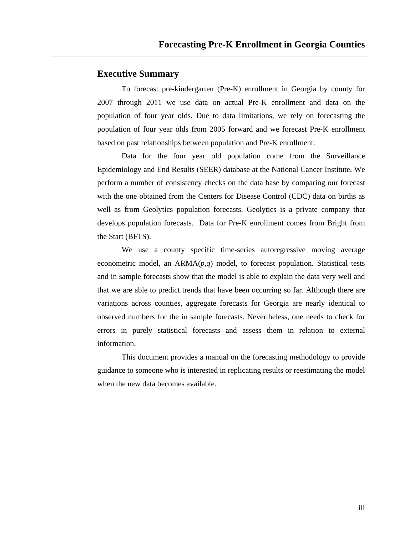#### **Executive Summary**

To forecast pre-kindergarten (Pre-K) enrollment in Georgia by county for 2007 through 2011 we use data on actual Pre-K enrollment and data on the population of four year olds. Due to data limitations, we rely on forecasting the population of four year olds from 2005 forward and we forecast Pre-K enrollment based on past relationships between population and Pre-K enrollment.

Data for the four year old population come from the Surveillance Epidemiology and End Results (SEER) database at the National Cancer Institute. We perform a number of consistency checks on the data base by comparing our forecast with the one obtained from the Centers for Disease Control (CDC) data on births as well as from Geolytics population forecasts. Geolytics is a private company that develops population forecasts. Data for Pre-K enrollment comes from Bright from the Start (BFTS).

We use a county specific time-series autoregressive moving average econometric model, an ARMA(*p*,*q*) model, to forecast population. Statistical tests and in sample forecasts show that the model is able to explain the data very well and that we are able to predict trends that have been occurring so far. Although there are variations across counties, aggregate forecasts for Georgia are nearly identical to observed numbers for the in sample forecasts. Nevertheless, one needs to check for errors in purely statistical forecasts and assess them in relation to external information.

This document provides a manual on the forecasting methodology to provide guidance to someone who is interested in replicating results or reestimating the model when the new data becomes available.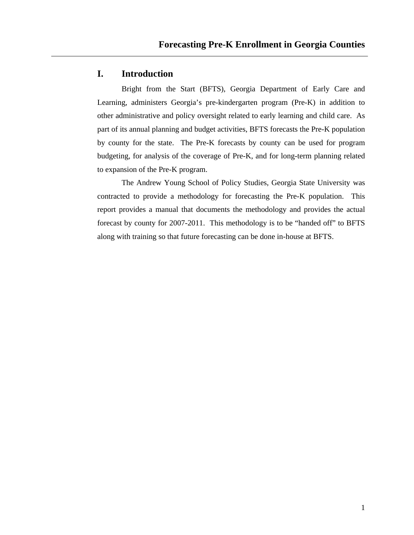## **I. Introduction**

Bright from the Start (BFTS), Georgia Department of Early Care and Learning, administers Georgia's pre-kindergarten program (Pre-K) in addition to other administrative and policy oversight related to early learning and child care. As part of its annual planning and budget activities, BFTS forecasts the Pre-K population by county for the state. The Pre-K forecasts by county can be used for program budgeting, for analysis of the coverage of Pre-K, and for long-term planning related to expansion of the Pre-K program.

The Andrew Young School of Policy Studies, Georgia State University was contracted to provide a methodology for forecasting the Pre-K population. This report provides a manual that documents the methodology and provides the actual forecast by county for 2007-2011. This methodology is to be "handed off" to BFTS along with training so that future forecasting can be done in-house at BFTS.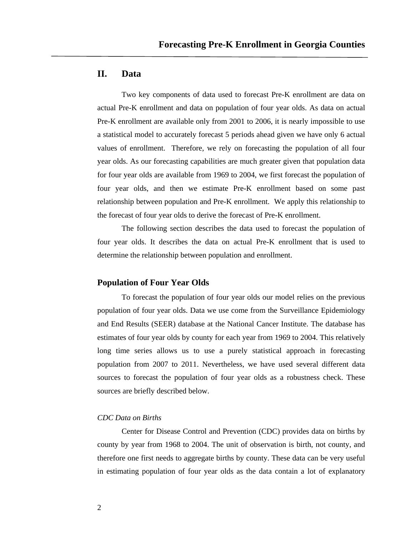## **II. Data**

Two key components of data used to forecast Pre-K enrollment are data on actual Pre-K enrollment and data on population of four year olds. As data on actual Pre-K enrollment are available only from 2001 to 2006, it is nearly impossible to use a statistical model to accurately forecast 5 periods ahead given we have only 6 actual values of enrollment. Therefore, we rely on forecasting the population of all four year olds. As our forecasting capabilities are much greater given that population data for four year olds are available from 1969 to 2004, we first forecast the population of four year olds, and then we estimate Pre-K enrollment based on some past relationship between population and Pre-K enrollment. We apply this relationship to the forecast of four year olds to derive the forecast of Pre-K enrollment.

The following section describes the data used to forecast the population of four year olds. It describes the data on actual Pre-K enrollment that is used to determine the relationship between population and enrollment.

#### **Population of Four Year Olds**

To forecast the population of four year olds our model relies on the previous population of four year olds. Data we use come from the Surveillance Epidemiology and End Results (SEER) database at the National Cancer Institute. The database has estimates of four year olds by county for each year from 1969 to 2004. This relatively long time series allows us to use a purely statistical approach in forecasting population from 2007 to 2011. Nevertheless, we have used several different data sources to forecast the population of four year olds as a robustness check. These sources are briefly described below.

#### *CDC Data on Births*

Center for Disease Control and Prevention (CDC) provides data on births by county by year from 1968 to 2004. The unit of observation is birth, not county, and therefore one first needs to aggregate births by county. These data can be very useful in estimating population of four year olds as the data contain a lot of explanatory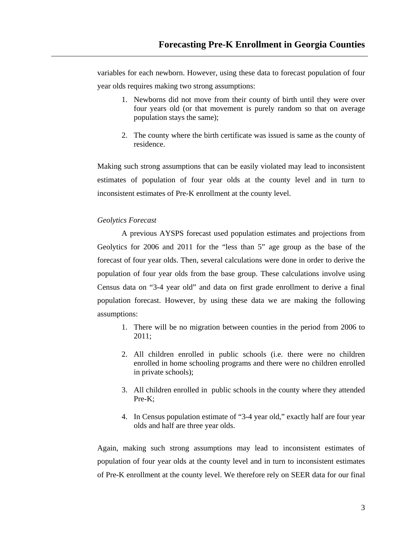variables for each newborn. However, using these data to forecast population of four year olds requires making two strong assumptions:

- 1. Newborns did not move from their county of birth until they were over four years old (or that movement is purely random so that on average population stays the same);
- 2. The county where the birth certificate was issued is same as the county of residence.

Making such strong assumptions that can be easily violated may lead to inconsistent estimates of population of four year olds at the county level and in turn to inconsistent estimates of Pre-K enrollment at the county level.

#### *Geolytics Forecast*

A previous AYSPS forecast used population estimates and projections from Geolytics for 2006 and 2011 for the "less than 5" age group as the base of the forecast of four year olds. Then, several calculations were done in order to derive the population of four year olds from the base group. These calculations involve using Census data on "3-4 year old" and data on first grade enrollment to derive a final population forecast. However, by using these data we are making the following assumptions:

- 1. There will be no migration between counties in the period from 2006 to 2011;
- 2. All children enrolled in public schools (i.e. there were no children enrolled in home schooling programs and there were no children enrolled in private schools);
- 3. All children enrolled in public schools in the county where they attended Pre-K;
- 4. In Census population estimate of "3-4 year old," exactly half are four year olds and half are three year olds.

Again, making such strong assumptions may lead to inconsistent estimates of population of four year olds at the county level and in turn to inconsistent estimates of Pre-K enrollment at the county level. We therefore rely on SEER data for our final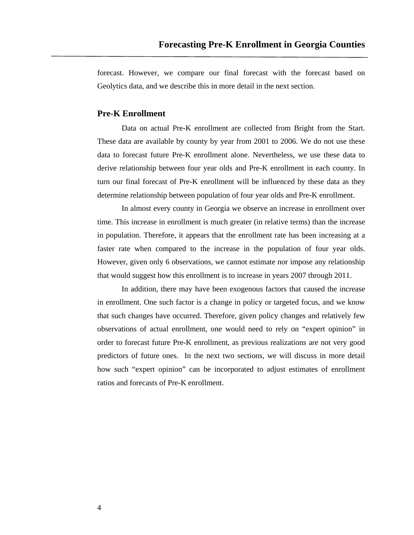forecast. However, we compare our final forecast with the forecast based on Geolytics data, and we describe this in more detail in the next section.

#### **Pre-K Enrollment**

Data on actual Pre-K enrollment are collected from Bright from the Start. These data are available by county by year from 2001 to 2006. We do not use these data to forecast future Pre-K enrollment alone. Nevertheless, we use these data to derive relationship between four year olds and Pre-K enrollment in each county. In turn our final forecast of Pre-K enrollment will be influenced by these data as they determine relationship between population of four year olds and Pre-K enrollment.

In almost every county in Georgia we observe an increase in enrollment over time. This increase in enrollment is much greater (in relative terms) than the increase in population. Therefore, it appears that the enrollment rate has been increasing at a faster rate when compared to the increase in the population of four year olds. However, given only 6 observations, we cannot estimate nor impose any relationship that would suggest how this enrollment is to increase in years 2007 through 2011.

In addition, there may have been exogenous factors that caused the increase in enrollment. One such factor is a change in policy or targeted focus, and we know that such changes have occurred. Therefore, given policy changes and relatively few observations of actual enrollment, one would need to rely on "expert opinion" in order to forecast future Pre-K enrollment, as previous realizations are not very good predictors of future ones. In the next two sections, we will discuss in more detail how such "expert opinion" can be incorporated to adjust estimates of enrollment ratios and forecasts of Pre-K enrollment.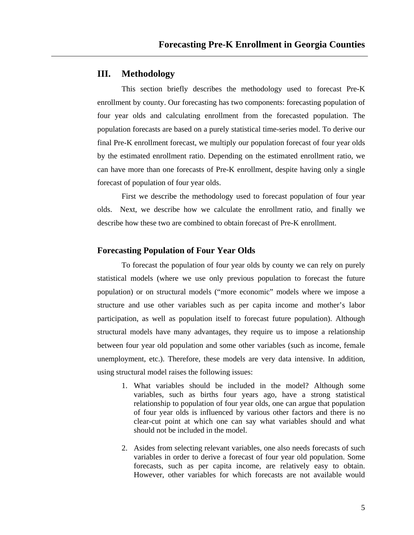## **III. Methodology**

This section briefly describes the methodology used to forecast Pre-K enrollment by county. Our forecasting has two components: forecasting population of four year olds and calculating enrollment from the forecasted population. The population forecasts are based on a purely statistical time-series model. To derive our final Pre-K enrollment forecast, we multiply our population forecast of four year olds by the estimated enrollment ratio. Depending on the estimated enrollment ratio, we can have more than one forecasts of Pre-K enrollment, despite having only a single forecast of population of four year olds.

First we describe the methodology used to forecast population of four year olds. Next, we describe how we calculate the enrollment ratio, and finally we describe how these two are combined to obtain forecast of Pre-K enrollment.

#### **Forecasting Population of Four Year Olds**

To forecast the population of four year olds by county we can rely on purely statistical models (where we use only previous population to forecast the future population) or on structural models ("more economic" models where we impose a structure and use other variables such as per capita income and mother's labor participation, as well as population itself to forecast future population). Although structural models have many advantages, they require us to impose a relationship between four year old population and some other variables (such as income, female unemployment, etc.). Therefore, these models are very data intensive. In addition, using structural model raises the following issues:

- 1. What variables should be included in the model? Although some variables, such as births four years ago, have a strong statistical relationship to population of four year olds, one can argue that population of four year olds is influenced by various other factors and there is no clear-cut point at which one can say what variables should and what should not be included in the model.
- 2. Asides from selecting relevant variables, one also needs forecasts of such variables in order to derive a forecast of four year old population. Some forecasts, such as per capita income, are relatively easy to obtain. However, other variables for which forecasts are not available would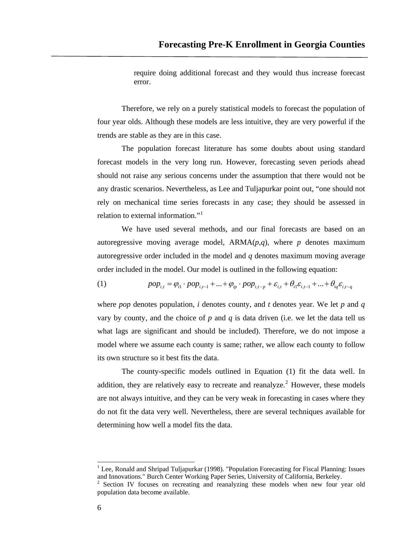require doing additional forecast and they would thus increase forecast error.

Therefore, we rely on a purely statistical models to forecast the population of four year olds. Although these models are less intuitive, they are very powerful if the trends are stable as they are in this case.

The population forecast literature has some doubts about using standard forecast models in the very long run. However, forecasting seven periods ahead should not raise any serious concerns under the assumption that there would not be any drastic scenarios. Nevertheless, as Lee and Tuljapurkar point out, "one should not rely on mechanical time series forecasts in any case; they should be assessed in relation to external information."<sup>[1](#page-8-0)</sup>

We have used several methods, and our final forecasts are based on an autoregressive moving average model,  $ARMA(p,q)$ , where *p* denotes maximum autoregressive order included in the model and *q* denotes maximum moving average order included in the model. Our model is outlined in the following equation:

(1) 
$$
pop_{i,t} = \varphi_{i1} \cdot pop_{i,t-1} + ... + \varphi_{ip} \cdot pop_{i,t-p} + \varepsilon_{i,t} + \theta_{i1} \varepsilon_{i,t-1} + ... + \theta_{iq} \varepsilon_{i,t-q}
$$

where *pop* denotes population, *i* denotes county, and *t* denotes year. We let *p* and *q* vary by county, and the choice of *p* and *q* is data driven (i.e. we let the data tell us what lags are significant and should be included). Therefore, we do not impose a model where we assume each county is same; rather, we allow each county to follow its own structure so it best fits the data.

The county-specific models outlined in Equation (1) fit the data well. In addition, they are relatively easy to recreate and reanalyze.<sup>[2](#page-8-1)</sup> However, these models are not always intuitive, and they can be very weak in forecasting in cases where they do not fit the data very well. Nevertheless, there are several techniques available for determining how well a model fits the data.

 $\overline{a}$ 

<span id="page-8-0"></span><sup>1</sup> Lee, Ronald and Shripad Tuljapurkar (1998). "Population Forecasting for Fiscal Planning: Issues and Innovations." Burch Center Working Paper Series, University of California, Berkeley.

<span id="page-8-1"></span><sup>&</sup>lt;sup>2</sup> Section IV focuses on recreating and reanalyzing these models when new four year old population data become available.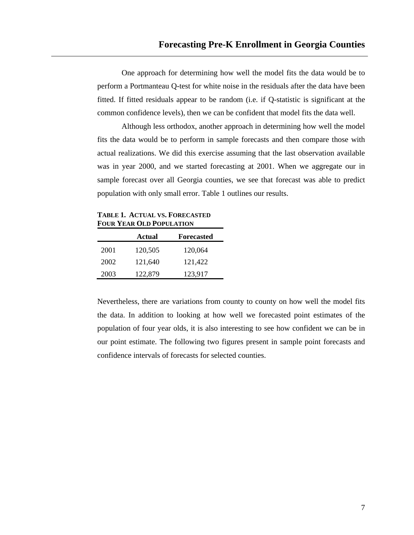One approach for determining how well the model fits the data would be to perform a Portmanteau Q-test for white noise in the residuals after the data have been fitted. If fitted residuals appear to be random (i.e. if Q-statistic is significant at the common confidence levels), then we can be confident that model fits the data well.

Although less orthodox, another approach in determining how well the model fits the data would be to perform in sample forecasts and then compare those with actual realizations. We did this exercise assuming that the last observation available was in year 2000, and we started forecasting at 2001. When we aggregate our in sample forecast over all Georgia counties, we see that forecast was able to predict population with only small error. Table 1 outlines our results.

**TABLE 1. ACTUAL VS. FORECASTED FOUR YEAR OLD POPULATION**

|      | Actual  | <b>Forecasted</b> |
|------|---------|-------------------|
| 2001 | 120,505 | 120,064           |
| 2002 | 121,640 | 121,422           |
| 2003 | 122,879 | 123,917           |

Nevertheless, there are variations from county to county on how well the model fits the data. In addition to looking at how well we forecasted point estimates of the population of four year olds, it is also interesting to see how confident we can be in our point estimate. The following two figures present in sample point forecasts and confidence intervals of forecasts for selected counties.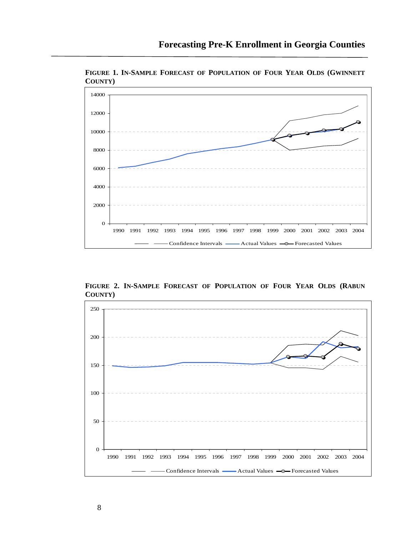

**FIGURE 1. IN-SAMPLE FORECAST OF POPULATION OF FOUR YEAR OLDS (GWINNETT COUNTY)** 

**FIGURE 2. IN-SAMPLE FORECAST OF POPULATION OF FOUR YEAR OLDS (RABUN COUNTY)** 

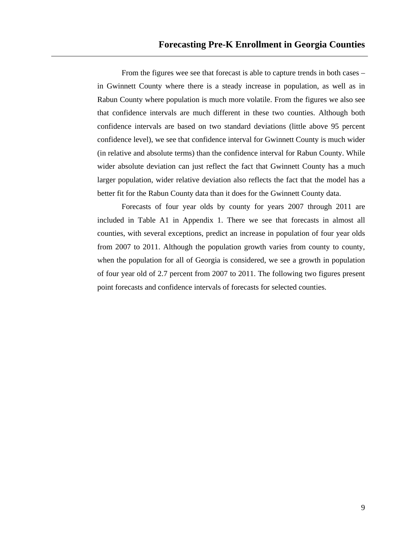From the figures wee see that forecast is able to capture trends in both cases – in Gwinnett County where there is a steady increase in population, as well as in Rabun County where population is much more volatile. From the figures we also see that confidence intervals are much different in these two counties. Although both confidence intervals are based on two standard deviations (little above 95 percent confidence level), we see that confidence interval for Gwinnett County is much wider (in relative and absolute terms) than the confidence interval for Rabun County. While wider absolute deviation can just reflect the fact that Gwinnett County has a much larger population, wider relative deviation also reflects the fact that the model has a better fit for the Rabun County data than it does for the Gwinnett County data.

Forecasts of four year olds by county for years 2007 through 2011 are included in Table A1 in Appendix 1. There we see that forecasts in almost all counties, with several exceptions, predict an increase in population of four year olds from 2007 to 2011. Although the population growth varies from county to county, when the population for all of Georgia is considered, we see a growth in population of four year old of 2.7 percent from 2007 to 2011. The following two figures present point forecasts and confidence intervals of forecasts for selected counties.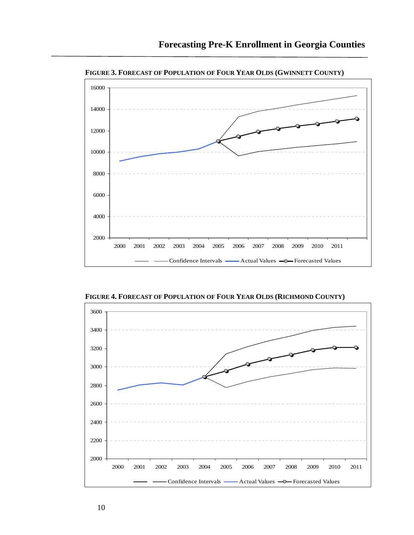

**FIGURE 3. FORECAST OF POPULATION OF FOUR YEAR OLDS (GWINNETT COUNTY)** 

**FIGURE 4. FORECAST OF POPULATION OF FOUR YEAR OLDS (RICHMOND COUNTY)** 

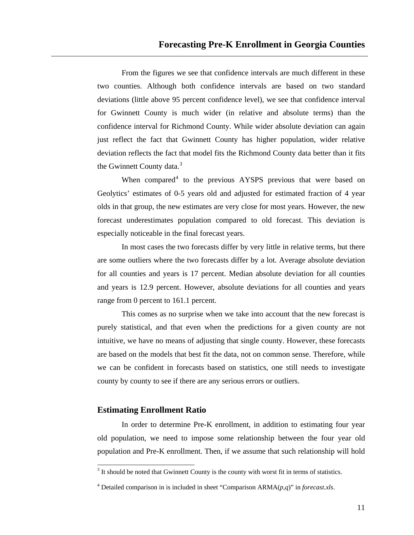From the figures we see that confidence intervals are much different in these two counties. Although both confidence intervals are based on two standard deviations (little above 95 percent confidence level), we see that confidence interval for Gwinnett County is much wider (in relative and absolute terms) than the confidence interval for Richmond County. While wider absolute deviation can again just reflect the fact that Gwinnett County has higher population, wider relative deviation reflects the fact that model fits the Richmond County data better than it fits the Gwinnett County data.<sup>[3](#page-13-0)</sup>

When compared<sup>[4](#page-13-1)</sup> to the previous AYSPS previous that were based on Geolytics' estimates of 0-5 years old and adjusted for estimated fraction of 4 year olds in that group, the new estimates are very close for most years. However, the new forecast underestimates population compared to old forecast. This deviation is especially noticeable in the final forecast years.

In most cases the two forecasts differ by very little in relative terms, but there are some outliers where the two forecasts differ by a lot. Average absolute deviation for all counties and years is 17 percent. Median absolute deviation for all counties and years is 12.9 percent. However, absolute deviations for all counties and years range from 0 percent to 161.1 percent.

This comes as no surprise when we take into account that the new forecast is purely statistical, and that even when the predictions for a given county are not intuitive, we have no means of adjusting that single county. However, these forecasts are based on the models that best fit the data, not on common sense. Therefore, while we can be confident in forecasts based on statistics, one still needs to investigate county by county to see if there are any serious errors or outliers.

#### **Estimating Enrollment Ratio**

 $\overline{a}$ 

In order to determine Pre-K enrollment, in addition to estimating four year old population, we need to impose some relationship between the four year old population and Pre-K enrollment. Then, if we assume that such relationship will hold

<span id="page-13-0"></span> $3$  It should be noted that Gwinnett County is the county with worst fit in terms of statistics.

<span id="page-13-1"></span><sup>4</sup> Detailed comparison in is included in sheet "Comparison ARMA(*p*,*q*)" in *forecast.xls*.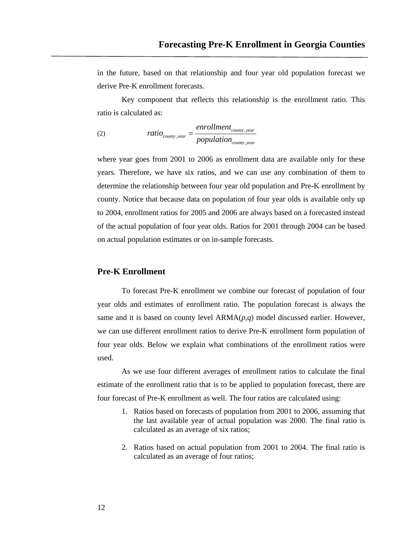in the future, based on that relationship and four year old population forecast we derive Pre-K enrollment forecasts.

Key component that reflects this relationship is the enrollment ratio. This ratio is calculated as:

(2) 
$$
ratio_{\text{county},\text{year}} = \frac{envollment_{\text{county},\text{year}}}{population_{\text{county},\text{year}}}
$$

where year goes from 2001 to 2006 as enrollment data are available only for these years. Therefore, we have six ratios, and we can use any combination of them to determine the relationship between four year old population and Pre-K enrollment by county. Notice that because data on population of four year olds is available only up to 2004, enrollment ratios for 2005 and 2006 are always based on a forecasted instead of the actual population of four year olds. Ratios for 2001 through 2004 can be based on actual population estimates or on in-sample forecasts.

#### **Pre-K Enrollment**

To forecast Pre-K enrollment we combine our forecast of population of four year olds and estimates of enrollment ratio. The population forecast is always the same and it is based on county level ARMA(*p*,*q*) model discussed earlier. However, we can use different enrollment ratios to derive Pre-K enrollment form population of four year olds. Below we explain what combinations of the enrollment ratios were used.

As we use four different averages of enrollment ratios to calculate the final estimate of the enrollment ratio that is to be applied to population forecast, there are four forecast of Pre-K enrollment as well. The four ratios are calculated using:

- 1. Ratios based on forecasts of population from 2001 to 2006, assuming that the last available year of actual population was 2000. The final ratio is calculated as an average of six ratios;
- 2. Ratios based on actual population from 2001 to 2004. The final ratio is calculated as an average of four ratios;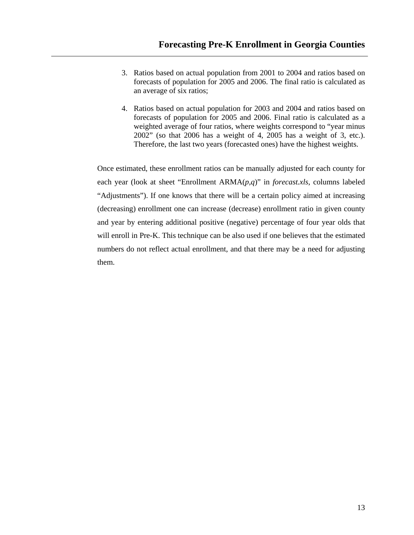- 3. Ratios based on actual population from 2001 to 2004 and ratios based on forecasts of population for 2005 and 2006. The final ratio is calculated as an average of six ratios;
- weighted average of four ratios, where weights correspond to "year minus 2002" (so that 2006 has a weight of 4, 2005 has a weight of 3, etc.). 4. Ratios based on actual population for 2003 and 2004 and ratios based on forecasts of population for 2005 and 2006. Final ratio is calculated as a Therefore, the last two years (forecasted ones) have the highest weights.

will enroll in Pre-K. This technique can be also used if one believes that the estimated numbers do not reflect actual enrollment, and that there may be a need for adjusting them. Once estimated, these enrollment ratios can be manually adjusted for each county for each year (look at sheet "Enrollment ARMA(*p*,*q*)" in *forecast.xls*, columns labeled "Adjustments"). If one knows that there will be a certain policy aimed at increasing (decreasing) enrollment one can increase (decrease) enrollment ratio in given county and year by entering additional positive (negative) percentage of four year olds that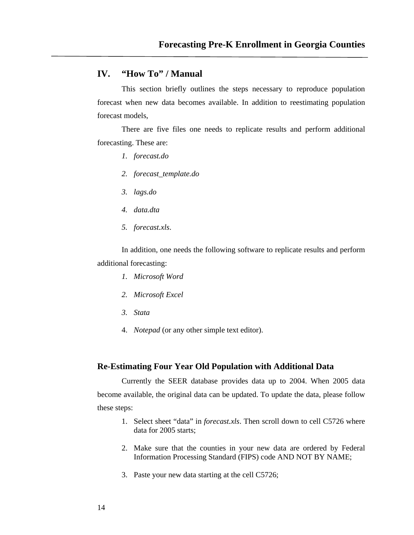#### **IV. "How To" / Manual**

This section briefly outlines the steps necessary to reproduce population forecast when new data becomes available. In addition to reestimating population forecast models,

There are five files one needs to replicate results and perform additional forecasting. These are:

- *1. forecast.do*
- *2. forecast\_template.do*
- *3. lags.do*
- *4. data.dta*
- *5. forecast.xls*.

In addition, one needs the following software to replicate results and perform additional forecasting:

- *1. Microsoft Word*
- *2. Microsoft Excel*
- *3. Stata*
- 4. *Notepad* (or any other simple text editor).

#### **Re-Estimating Four Year Old Population with Additional Data**

Currently the SEER database provides data up to 2004. When 2005 data become available, the original data can be updated. To update the data, please follow these steps:

- 1. Select sheet "data" in *forecast.xls*. Then scroll down to cell C5726 where data for 2005 starts;
- 2. Make sure that the counties in your new data are ordered by Federal Information Processing Standard (FIPS) code AND NOT BY NAME;
- 3. Paste your new data starting at the cell C5726;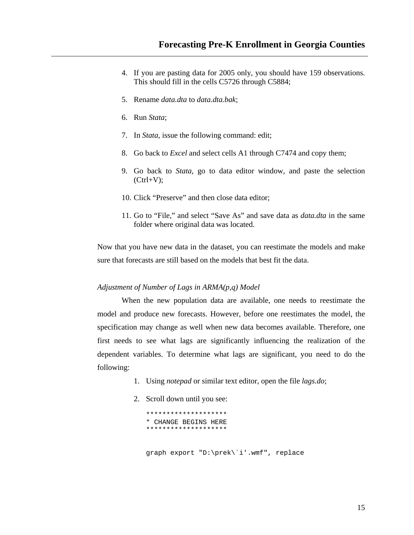- 4. If you are pasting data for 2005 only, you should have 159 observations. This should fill in the cells C5726 through C5884;
- 5. Rename *data.dta* to *data.dta.bak*;
- 6. Run *Stata*;
- 7. In *Stata*, issue the following command: edit;
- 8. Go back to *Excel* and select cells A1 through C7474 and copy them;
- 9. Go back to *Stata*, go to data editor window, and paste the selection  $(Ctrl+V);$
- 10. Click "Preserve" and then close data editor;
- 11. Go to "File," and select "Save As" and save data as *data.dta* in the same folder where original data was located.

Now that you have new data in the dataset, you can reestimate the models and make sure that forecasts are still based on the models that best fit the data.

#### *Adjustment of Number of Lags in ARMA(p,q) Model*

When the new population data are available, one needs to reestimate the model and produce new forecasts. However, before one reestimates the model, the specification may change as well when new data becomes available. Therefore, one first needs to see what lags are significantly influencing the realization of the dependent variables. To determine what lags are significant, you need to do the following:

- 1. Using *notepad* or similar text editor, open the file *lags.do*;
- 2. Scroll down until you see:

\*\*\*\*\*\*\*\*\*\*\*\*\*\*\*\*\*\*\*\* \* CHANGE BEGINS HERE \*\*\*\*\*\*\*\*\*\*\*\*\*\*\*\*\*\*\*\*

graph export "D:\prek\`i'.wmf", replace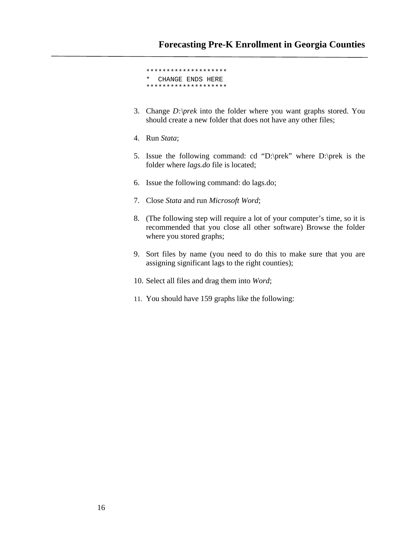\*\*\*\*\*\*\*\*\*\*\*\*\*\*\*\*\*\*\*\* CHANGE ENDS HERE \*\*\*\*\*\*\*\*\*\*\*\*\*\*\*\*\*\*\*\*

- 3. Change *D:\prek* into the folder where you want graphs stored. You should create a new folder that does not have any other files;
- 4. Run *Stata*;
- 5. Issue the following command: cd "D:\prek" where D:\prek is the folder where *lags.do* file is located;
- 6. Issue the following command: do lags.do;
- 7. Close *Stata* and run *Microsoft Word*;
- 8. (The following step will require a lot of your computer's time, so it is recommended that you close all other software) Browse the folder where you stored graphs;
- 9. Sort files by name (you need to do this to make sure that you are assigning significant lags to the right counties);
- 10. Select all files and drag them into *Word*;
- 11. You should have 159 graphs like the following: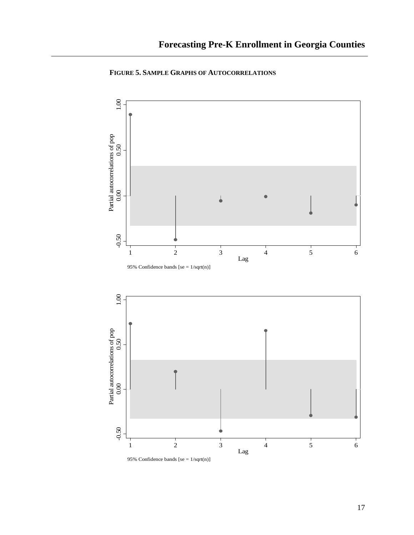

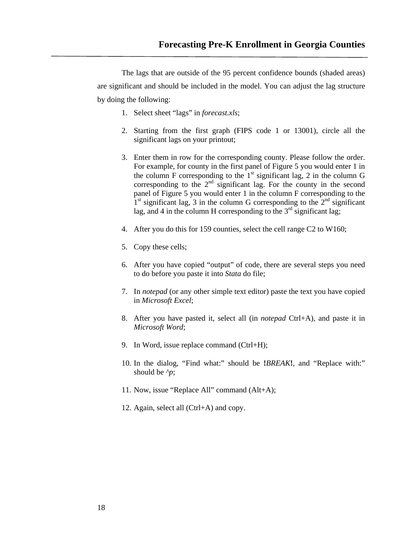The lags that are outside of the 95 percent confidence bounds (shaded areas) are significant and should be included in the model. You can adjust the lag structure by doing the following:

- 1. Select sheet "lags" in *forecast.xls*;
- 2. Starting from the first graph (FIPS code 1 or 13001), circle all the significant lags on your printout;
- 3. Enter them in row for the corresponding county. Please follow the order. For example, for county in the first panel of Figure 5 you would enter 1 in the column F corresponding to the  $1<sup>st</sup>$  significant lag, 2 in the column G corresponding to the  $2<sup>nd</sup>$  significant lag. For the county in the second panel of Figure 5 you would enter 1 in the column F corresponding to the  $1<sup>st</sup>$  significant lag, 3 in the column G corresponding to the  $2<sup>nd</sup>$  significant lag, and 4 in the column H corresponding to the  $3<sup>rd</sup>$  significant lag;
- 4. After you do this for 159 counties, select the cell range C2 to W160;
- 5. Copy these cells;
- 6. After you have copied "output" of code, there are several steps you need to do before you paste it into *Stata* do file;
- 7. In *notepad* (or any other simple text editor) paste the text you have copied in *Microsoft Excel*;
- 8. After you have pasted it, select all (in *notepad* Ctrl+A), and paste it in *Microsoft Word*;
- 9. In Word, issue replace command (Ctrl+H);
- 10. In the dialog, "Find what:" should be **!***BREAK***!**, and "Replace with:" should be *^p*;
- 11. Now, issue "Replace All" command (Alt+A);
- 12. Again, select all (Ctrl+A) and copy.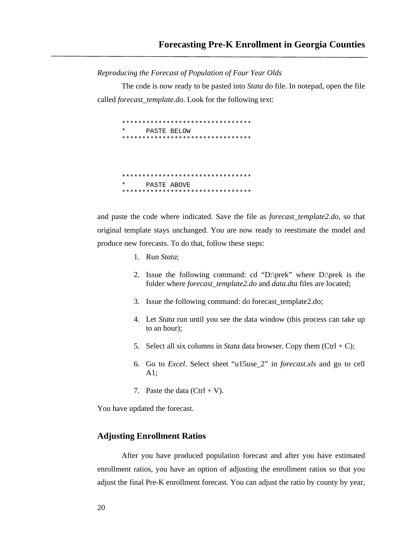*Reproducing the Forecast of Population of Four Year Olds* 

The code is now ready to be pasted into *Stata* do file. In notepad, open the file called *forecast\_template.do*. Look for the following text:

\*\*\*\*\*\*\*\*\*\*\*\*\*\*\*\*\*\*\*\*\*\*\*\*\*\*\*\*\*\*\*\* PASTE BELOW \*\*\*\*\*\*\*\*\*\*\*\*\*\*\*\*\*\*\*\*\*\*\*\*\*\*\*\*\*\*\*\* \*\*\*\*\*\*\*\*\*\*\*\*\*\*\*\*\*\*\*\*\*\*\*\*\*\*\*\*\*\*\*\* PASTE ABOVE \*\*\*\*\*\*\*\*\*\*\*\*\*\*\*\*\*\*\*\*\*\*\*\*\*\*\*\*\*\*\*\*

and paste the code where indicated. Save the file as *forecast\_template2.do*, so that original template stays unchanged. You are now ready to reestimate the model and produce new forecasts. To do that, follow these steps:

- 1. Run *Stata*;
- 2. Issue the following command: cd "D:\prek" where D:\prek is the folder where *forecast\_template2.do* and *data.dta* files are located;
- 3. Issue the following command: do forecast\_template2.do;
- 4. Let *Stata* run until you see the data window (this process can take up to an hour);
- 5. Select all six columns in *Stata* data browser. Copy them  $(Ctrl + C)$ ;
- 6. Go to *Excel*. Select sheet "u15use\_2" in *forecast.xls* and go to cell A1;
- 7. Paste the data  $(Ctrl + V)$ .

You have updated the forecast.

#### **Adjusting Enrollment Ratios**

After you have produced population forecast and after you have estimated enrollment ratios, you have an option of adjusting the enrollment ratios so that you adjust the final Pre-K enrollment forecast. You can adjust the ratio by county by year,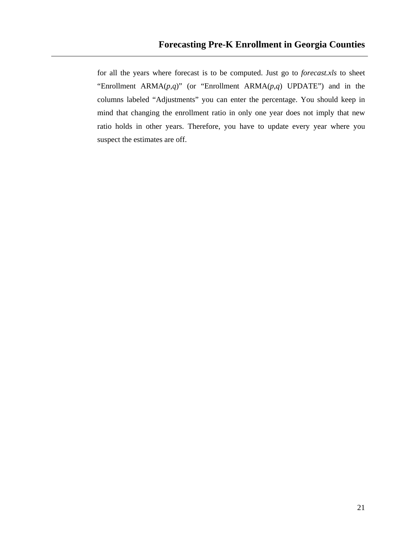for all the years where forecast is to be computed. Just go to *forecast.xls* to sheet "Enrollment ARMA(*p*,*q*)" (or "Enrollment ARMA(*p*,*q*) UPDATE") and in the columns labeled "Adjustments" you can enter the percentage. You should keep in mind that changing the enrollment ratio in only one year does not imply that new ratio holds in other years. Therefore, you have to update every year where you suspect the estimates are off.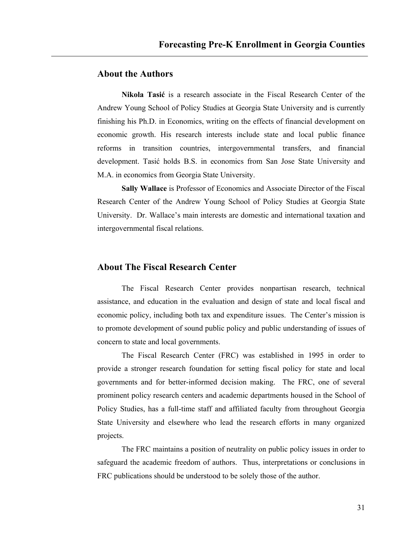## **About the Authors**

**Nikola Tasić** is a research associate in the Fiscal Research Center of the Andrew Young School of Policy Studies at Georgia State University and is currently finishing his Ph.D. in Economics, writing on the effects of financial development on economic growth. His research interests include state and local public finance reforms in transition countries, intergovernmental transfers, and financial development. Tasić holds B.S. in economics from San Jose State University and M.A. in economics from Georgia State University.

**Sally Wallace** is Professor of Economics and Associate Director of the Fiscal Research Center of the Andrew Young School of Policy Studies at Georgia State University. Dr. Wallace's main interests are domestic and international taxation and intergovernmental fiscal relations.

### **About The Fiscal Research Center**

 The Fiscal Research Center provides nonpartisan research, technical assistance, and education in the evaluation and design of state and local fiscal and economic policy, including both tax and expenditure issues. The Center's mission is to promote development of sound public policy and public understanding of issues of concern to state and local governments.

 The Fiscal Research Center (FRC) was established in 1995 in order to provide a stronger research foundation for setting fiscal policy for state and local governments and for better-informed decision making. The FRC, one of several prominent policy research centers and academic departments housed in the School of Policy Studies, has a full-time staff and affiliated faculty from throughout Georgia State University and elsewhere who lead the research efforts in many organized projects.

 The FRC maintains a position of neutrality on public policy issues in order to safeguard the academic freedom of authors. Thus, interpretations or conclusions in FRC publications should be understood to be solely those of the author.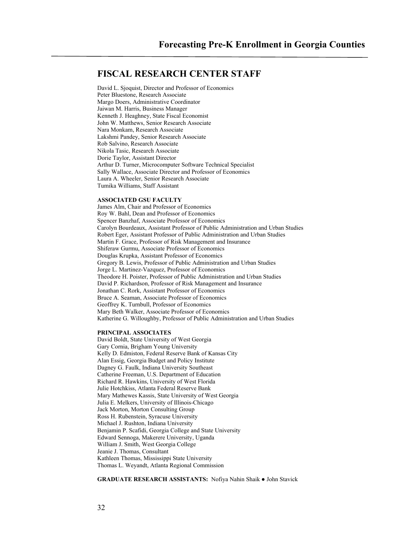### **FISCAL RESEARCH CENTER STAFF**

David L. Sjoquist, Director and Professor of Economics Peter Bluestone, Research Associate Margo Doers, Administrative Coordinator Jaiwan M. Harris, Business Manager Kenneth J. Heaghney, State Fiscal Economist John W. Matthews, Senior Research Associate Nara Monkam, Research Associate Lakshmi Pandey, Senior Research Associate Rob Salvino, Research Associate Nikola Tasic, Research Associate Dorie Taylor, Assistant Director Arthur D. Turner, Microcomputer Software Technical Specialist Sally Wallace, Associate Director and Professor of Economics Laura A. Wheeler, Senior Research Associate Tumika Williams, Staff Assistant

#### **ASSOCIATED GSU FACULTY**

James Alm, Chair and Professor of Economics Roy W. Bahl, Dean and Professor of Economics Spencer Banzhaf, Associate Professor of Economics Carolyn Bourdeaux, Assistant Professor of Public Administration and Urban Studies Robert Eger, Assistant Professor of Public Administration and Urban Studies Martin F. Grace, Professor of Risk Management and Insurance Shiferaw Gurmu, Associate Professor of Economics Douglas Krupka, Assistant Professor of Economics Gregory B. Lewis, Professor of Public Administration and Urban Studies Jorge L. Martinez-Vazquez, Professor of Economics Theodore H. Poister, Professor of Public Administration and Urban Studies David P. Richardson, Professor of Risk Management and Insurance Jonathan C. Rork, Assistant Professor of Economics Bruce A. Seaman, Associate Professor of Economics Geoffrey K. Turnbull, Professor of Economics Mary Beth Walker, Associate Professor of Economics Katherine G. Willoughby, Professor of Public Administration and Urban Studies

#### **PRINCIPAL ASSOCIATES**

David Boldt, State University of West Georgia Gary Cornia, Brigham Young University Kelly D. Edmiston, Federal Reserve Bank of Kansas City Alan Essig, Georgia Budget and Policy Institute Dagney G. Faulk, Indiana University Southeast Catherine Freeman, U.S. Department of Education Richard R. Hawkins, University of West Florida Julie Hotchkiss, Atlanta Federal Reserve Bank Mary Mathewes Kassis, State University of West Georgia Julia E. Melkers, University of Illinois-Chicago Jack Morton, Morton Consulting Group Ross H. Rubenstein, Syracuse University Michael J. Rushton, Indiana University Benjamin P. Scafidi, Georgia College and State University Edward Sennoga, Makerere University, Uganda William J. Smith, West Georgia College Jeanie J. Thomas, Consultant Kathleen Thomas, Mississippi State University Thomas L. Weyandt, Atlanta Regional Commission

#### **GRADUATE RESEARCH ASSISTANTS:** Nofiya Nahin Shaik ● John Stavick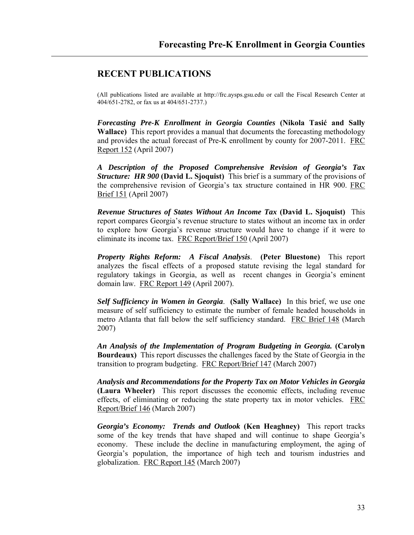## **RECENT PUBLICATIONS**

(All publications listed are available at http://frc.aysps.gsu.edu or call the Fiscal Research Center at 404/651-2782, or fax us at 404/651-2737.)

*Forecasting Pre-K Enrollment in Georgia Counties* **(Nikola Tasić and Sally Wallace)** This report provides a manual that documents the forecasting methodology and provides the actual forecast of Pre-K enrollment by county for 2007-2011. FRC Report 152 (April 2007)

*A Description of the Proposed Comprehensive Revision of Georgia's Tax Structure: HR 900* **(David L. Sjoquist)** This brief is a summary of the provisions of the comprehensive revision of Georgia's tax structure contained in HR 900. FRC Brief 151 (April 2007)

*Revenue Structures of States Without An Income Tax* **(David L. Sjoquist)** This report compares Georgia's revenue structure to states without an income tax in order to explore how Georgia's revenue structure would have to change if it were to eliminate its income tax. FRC Report/Brief 150 (April 2007)

*Property Rights Reform: A Fiscal Analysis*. **(Peter Bluestone)** This report analyzes the fiscal effects of a proposed statute revising the legal standard for regulatory takings in Georgia, as well as recent changes in Georgia's eminent domain law. FRC Report 149 (April 2007).

*Self Sufficiency in Women in Georgia*. **(Sally Wallace)** In this brief, we use one measure of self sufficiency to estimate the number of female headed households in metro Atlanta that fall below the self sufficiency standard. FRC Brief 148 (March 2007)

*An Analysis of the Implementation of Program Budgeting in Georgia.* **(Carolyn Bourdeaux)** This report discusses the challenges faced by the State of Georgia in the transition to program budgeting. FRC Report/Brief 147 (March 2007)

*Analysis and Recommendations for the Property Tax on Motor Vehicles in Georgia* **(Laura Wheeler)** This report discusses the economic effects, including revenue effects, of eliminating or reducing the state property tax in motor vehicles. FRC Report/Brief 146 (March 2007)

*Georgia's Economy: Trends and Outlook* **(Ken Heaghney)** This report tracks some of the key trends that have shaped and will continue to shape Georgia's economy. These include the decline in manufacturing employment, the aging of Georgia's population, the importance of high tech and tourism industries and globalization. FRC Report 145 (March 2007)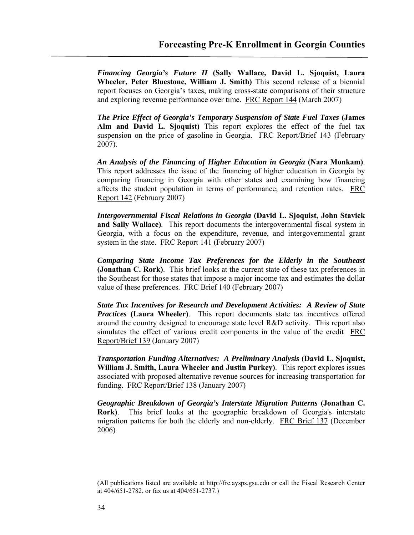*Financing Georgia's Future II* **(Sally Wallace, David L. Sjoquist, Laura Wheeler, Peter Bluestone, William J. Smith)** This second release of a biennial report focuses on Georgia's taxes, making cross-state comparisons of their structure and exploring revenue performance over time.FRC Report 144 (March 2007)

*The Price Effect of Georgia's Temporary Suspension of State Fuel Taxes* **(James Alm and David L. Sjoquist)** This report explores the effect of the fuel tax suspension on the price of gasoline in Georgia. FRC Report/Brief 143 (February 2007).

*An Analysis of the Financing of Higher Education in Georgia* **(Nara Monkam)**. This report addresses the issue of the financing of higher education in Georgia by comparing financing in Georgia with other states and examining how financing affects the student population in terms of performance, and retention rates. FRC Report 142 (February 2007)

*Intergovernmental Fiscal Relations in Georgia* **(David L. Sjoquist, John Stavick and Sally Wallace)***.* This report documents the intergovernmental fiscal system in Georgia, with a focus on the expenditure, revenue, and intergovernmental grant system in the state. FRC Report 141 (February 2007)

*Comparing State Income Tax Preferences for the Elderly in the Southeast*  **(Jonathan C. Rork)**. This brief looks at the current state of these tax preferences in the Southeast for those states that impose a major income tax and estimates the dollar value of these preferences. FRC Brief 140 (February 2007)

*State Tax Incentives for Research and Development Activities: A Review of State Practices* **(Laura Wheeler)**. This report documents state tax incentives offered around the country designed to encourage state level R&D activity. This report also simulates the effect of various credit components in the value of the credit FRC Report/Brief 139 (January 2007)

*Transportation Funding Alternatives: A Preliminary Analysis* **(David L. Sjoquist, William J. Smith, Laura Wheeler and Justin Purkey)**. This report explores issues associated with proposed alternative revenue sources for increasing transportation for funding. FRC Report/Brief 138 (January 2007)

*Geographic Breakdown of Georgia's Interstate Migration Patterns* **(Jonathan C. Rork)**. This brief looks at the geographic breakdown of Georgia's interstate migration patterns for both the elderly and non-elderly. FRC Brief 137 (December 2006)

(All publications listed are available at http://frc.aysps.gsu.edu or call the Fiscal Research Center at 404/651-2782, or fax us at 404/651-2737.)